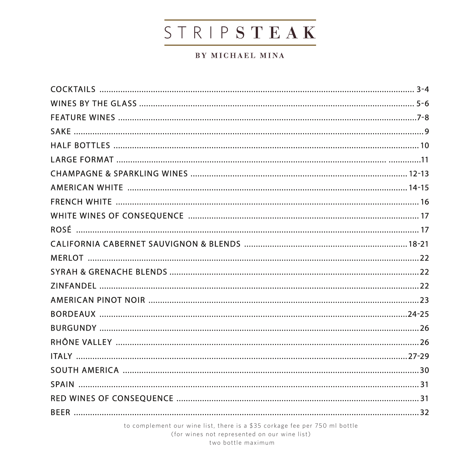# STRIPSTEAK

#### BY MICHAEL MINA

to complement our wine list, there is a \$35 corkage fee per 750 ml bottle

(for wines not represented on our wine list)

two bottle maximum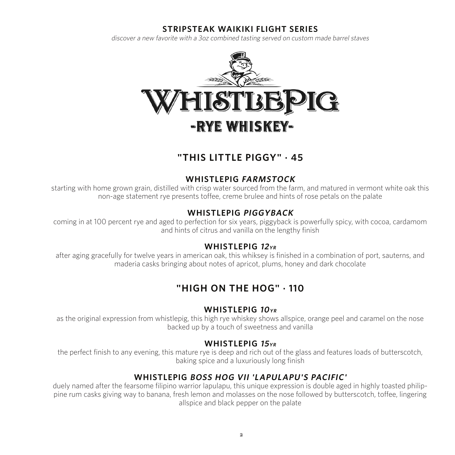#### **STRIPSTEAK WAIKIKI FLIGHT SERIES**

discover a new favorite with a 3oz combined tasting served on custom made barrel staves



### **"THIS LITTLE PIGGY" . 45**

#### **WHISTLEPIG FARMSTOCK**

starting with home grown grain, distilled with crisp water sourced from the farm, and matured in vermont white oak this non-age statement rye presents toffee, creme brulee and hints of rose petals on the palate

#### **WHISTLEPIG PIGGYBACK**

coming in at 100 percent rye and aged to perfection for six years, piggyback is powerfully spicy, with cocoa, cardamom and hints of citrus and vanilla on the lengthy finish

#### **WHISTLEPIG <sup>12</sup>YR**

after aging gracefully for twelve years in american oak, this whiksey is finished in a combination of port, sauterns, and maderia casks bringing about notes of apricot, plums, honey and dark chocolate

### **"HIGH ON THE HOG" . 110**

#### **WHISTLEPIG 10YR**

as the original expression from whistlepig, this high rye whiskey shows allspice, orange peel and caramel on the nose backed up by a touch of sweetness and vanilla

#### **WHISTLEPIG <sup>15</sup>YR**

the perfect finish to any evening, this mature rye is deep and rich out of the glass and features loads of butterscotch, baking spice and a luxuriously long finish

#### **WHISTLEPIG BOSS HOG VII 'LAPULAPU'S PACIFIC'**

duely named after the fearsome filipino warrior lapulapu, this unique expression is double aged in highly toasted philippine rum casks giving way to banana, fresh lemon and molasses on the nose followed by butterscotch, toffee, lingering allspice and black pepper on the palate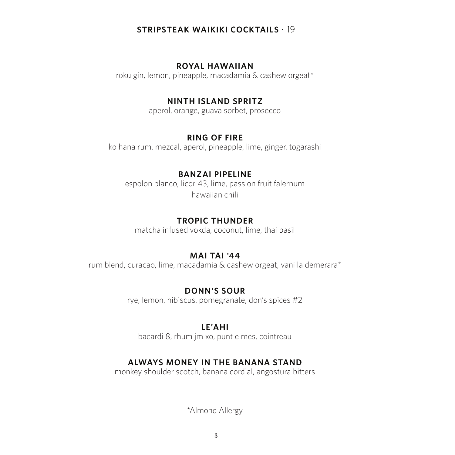#### **STRIPSTEAK WAIKIKI COCKTAILS .** 19

#### **ROYAL HAWAIIAN**

roku gin, lemon, pineapple, macadamia & cashew orgeat\*

#### **NINTH ISLAND SPRITZ**

aperol, orange, guava sorbet, prosecco

#### **RING OF FIRE**

ko hana rum, mezcal, aperol, pineapple, lime, ginger, togarashi

#### **BANZAI PIPELINE**

espolon blanco, licor 43, lime, passion fruit falernum hawaiian chili

#### **TROPIC THUNDER**

matcha infused vokda, coconut, lime, thai basil

#### **MAI TAI '44**

rum blend, curacao, lime, macadamia & cashew orgeat, vanilla demerara\*

#### **DONN'S SOUR**

rye, lemon, hibiscus, pomegranate, don's spices #2

#### **LE'AHI**

bacardi 8, rhum jm xo, punt e mes, cointreau

#### **ALWAYS MONEY IN THE BANANA STAND**

monkey shoulder scotch, banana cordial, angostura bitters

\*Almond Allergy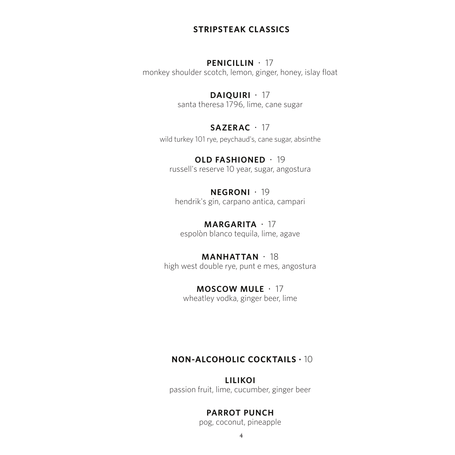#### **STRIPSTEAK CLASSICS**

#### **PENICILLIN** · 17

monkey shoulder scotch, lemon, ginger, honey, islay float

#### **DAIQUIRI** · 17

santa theresa 1796, lime, cane sugar

#### **SAZERAC** · 17

wild turkey 101 rye, peychaud's, cane sugar, absinthe

#### **OLD FASHIONED** · 19 russell's reserve 10 year, sugar, angostura

#### **NEGRONI** · 19 hendrik's gin, carpano antica, campari

**MARGARITA** · 17 espolòn blanco tequila, lime, agave

#### **MANHATTAN** · 18

high west double rye, punt e mes, angostura

# **MOSCOW MULE** · 17

wheatley vodka, ginger beer, lime

#### **NON-ALCOHOLIC COCKTAILS .** 10

## **LILIKOI**

passion fruit, lime, cucumber, ginger beer

#### **PARROT PUNCH**

pog, coconut, pineapple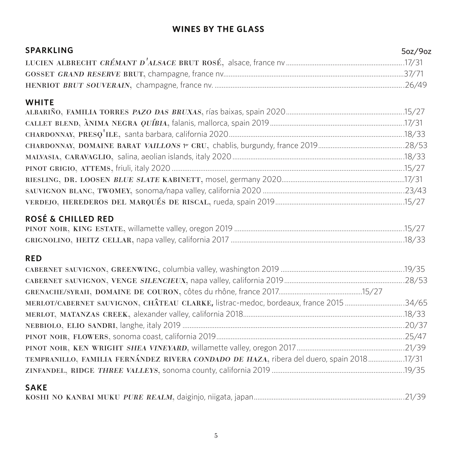### **WINES BY THE GLASS**

| <b>SPARKLING</b>                                                                          | 5oz/9oz |
|-------------------------------------------------------------------------------------------|---------|
|                                                                                           |         |
|                                                                                           |         |
|                                                                                           |         |
| <b>WHITE</b>                                                                              |         |
|                                                                                           |         |
|                                                                                           |         |
|                                                                                           |         |
|                                                                                           |         |
|                                                                                           |         |
|                                                                                           |         |
|                                                                                           |         |
|                                                                                           |         |
|                                                                                           |         |
| <b>ROSÉ &amp; CHILLED RED</b>                                                             |         |
|                                                                                           |         |
|                                                                                           |         |
| <b>RED</b>                                                                                |         |
|                                                                                           |         |
|                                                                                           |         |
|                                                                                           |         |
| MERLOT/CABERNET SAUVIGNON, CHÂTEAU CLARKE, listrac-medoc, bordeaux, france 201534/65      |         |
|                                                                                           |         |
|                                                                                           |         |
|                                                                                           |         |
|                                                                                           |         |
| TEMPRANILLO, FAMILIA FERNÁNDEZ RIVERA CONDADO DE HAZA, ribera del duero, spain 2018 17/31 |         |
|                                                                                           |         |
| <b>SAKE</b>                                                                               |         |

|--|--|--|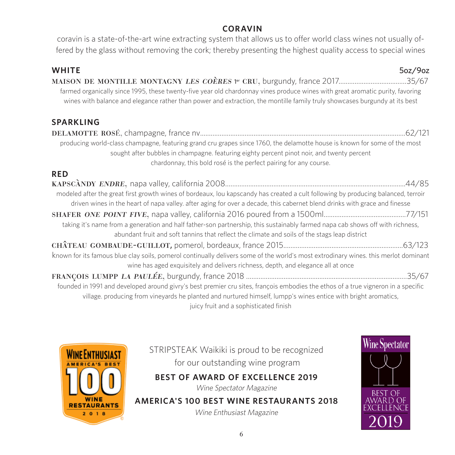#### **CORAVIN**

coravin is a state-of-the-art wine extracting system that allows us to offer world class wines not usually offered by the glass without removing the cork; thereby presenting the highest quality access to special wines

| <b>WHITE</b><br>5oz/9oz<br>farmed organically since 1995, these twenty-five year old chardonnay vines produce wines with great aromatic purity, favoring<br>wines with balance and elegance rather than power and extraction, the montille family truly showcases burgundy at its best        |  |
|-----------------------------------------------------------------------------------------------------------------------------------------------------------------------------------------------------------------------------------------------------------------------------------------------|--|
| <b>SPARKLING</b>                                                                                                                                                                                                                                                                              |  |
|                                                                                                                                                                                                                                                                                               |  |
| producing world-class champagne, featuring grand cru grapes since 1760, the delamotte house is known for some of the most<br>sought after bubbles in champagne. featuring eighty percent pinot noir, and twenty percent<br>chardonnay, this bold rosé is the perfect pairing for any course.  |  |
| <b>RED</b>                                                                                                                                                                                                                                                                                    |  |
|                                                                                                                                                                                                                                                                                               |  |
| modeled after the great first growth wines of bordeaux, lou kapscandy has created a cult following by producing balanced, terroir<br>driven wines in the heart of napa valley. after aging for over a decade, this cabernet blend drinks with grace and finesse                               |  |
| taking it's name from a generation and half father-son partnership, this sustainably farmed napa cab shows off with richness,<br>abundant fruit and soft tannins that reflect the climate and soils of the stags leap district                                                                |  |
|                                                                                                                                                                                                                                                                                               |  |
| known for its famous blue clay soils, pomerol continually delivers some of the world's most extrodinary wines. this merlot dominant<br>wine has aged exquisitely and delivers richness, depth, and elegance all at once                                                                       |  |
|                                                                                                                                                                                                                                                                                               |  |
| founded in 1991 and developed around givry's best premier cru sites, françois embodies the ethos of a true vigneron in a specific<br>village. producing from vineyards he planted and nurtured himself, lumpp's wines entice with bright aromatics,<br>iuicy fruit and a sophisticated finish |  |

juicy fruit and a sophisticated finish



STRIPSTEAK Waikiki is proud to be recognized for our outstanding wine program

**BEST OF AWARD OF EXCELLENCE 2019**

Wine Spectator Magazine

**AMERICA'S 100 BEST WINE RESTAURANTS 2018**  Wine Enthusiast Magazine

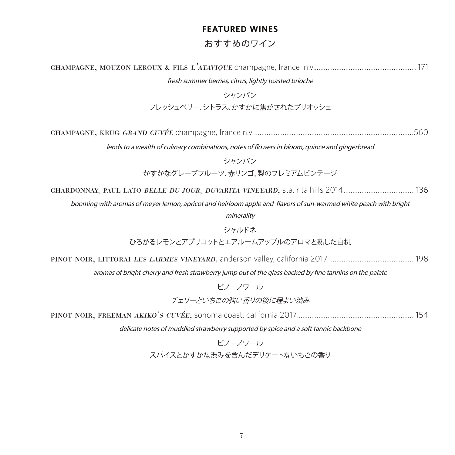### **FEATURED WINES** おすすめのワイン

| fresh summer berries, citrus, lightly toasted brioche                                                            |  |
|------------------------------------------------------------------------------------------------------------------|--|
| シャンパン                                                                                                            |  |
| フレッシュベリー、シトラス、かすかに焦がされたブリオッシュ                                                                                    |  |
|                                                                                                                  |  |
|                                                                                                                  |  |
| lends to a wealth of culinary combinations, notes of flowers in bloom, quince and gingerbread                    |  |
| シャンパン                                                                                                            |  |
| かすかなグレープフルーツ、赤リンゴ、梨のプレミアムビンテージ                                                                                   |  |
|                                                                                                                  |  |
| booming with aromas of meyer lemon, apricot and heirloom apple and flavors of sun-warmed white peach with bright |  |
| minerality                                                                                                       |  |
| シャルドネ                                                                                                            |  |
| ひろがるレモンとアプリコットとエアルームアップルのアロマと熟した白桃                                                                               |  |
|                                                                                                                  |  |
| aromas of bright cherry and fresh strawberry jump out of the glass backed by fine tannins on the palate          |  |
| ピノーノワール                                                                                                          |  |
| チェリーといちごの強い香りの後に程よい渋み                                                                                            |  |
|                                                                                                                  |  |
| delicate notes of muddled strawberry supported by spice and a soft tannic backbone                               |  |
| ピノーノワール                                                                                                          |  |
| スパイスとかすかな渋みを含んだデリケートないちごの香り                                                                                      |  |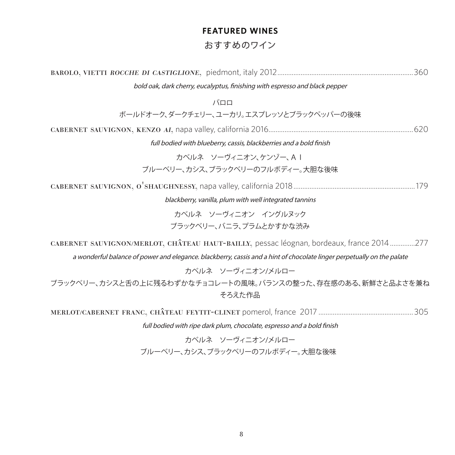### **FEATURED WINES** おすすめのワイン

| bold oak, dark cherry, eucalyptus, finishing with espresso and black pepper                                                                                                                                        |
|--------------------------------------------------------------------------------------------------------------------------------------------------------------------------------------------------------------------|
| バロロ                                                                                                                                                                                                                |
| ボールドオーク、ダークチェリー、ユーカリ。エスプレッソとブラックペッパーの後味                                                                                                                                                                            |
|                                                                                                                                                                                                                    |
| full bodied with blueberry, cassis, blackberries and a bold finish                                                                                                                                                 |
| カベルネ ソーヴィニオン、ケンゾー、AI<br>ブルーベリー、カシス、ブラックベリーのフルボディー。大胆な後味                                                                                                                                                            |
|                                                                                                                                                                                                                    |
| blackberry, vanilla, plum with well integrated tannins                                                                                                                                                             |
| カベルネ ソーヴィニオン イングルヌック                                                                                                                                                                                               |
| ブラックベリー、バニラ、プラムとかすかな渋み                                                                                                                                                                                             |
| CABERNET SAUVIGNON/MERLOT, CHÂTEAU HAUT-BAILLY, pessac léognan, bordeaux, france 2014277<br>a wonderful balance of power and elegance. blackberry, cassis and a hint of chocolate linger perpetually on the palate |
| カベルネ ソーヴィニオン/メルロー                                                                                                                                                                                                  |
| ブラックベリー、カシスと舌の上に残るわずかなチョコレートの風味。バランスの整った、存在感のある、新鮮さと品よさを兼ね<br>そろえた作品                                                                                                                                               |
|                                                                                                                                                                                                                    |

full bodied with ripe dark plum, chocolate, espresso and a bold finish

カベルネ ソーヴィニオン/メルロー ブルーベリー、カシス、ブラックベリーのフルボディー。大胆な後味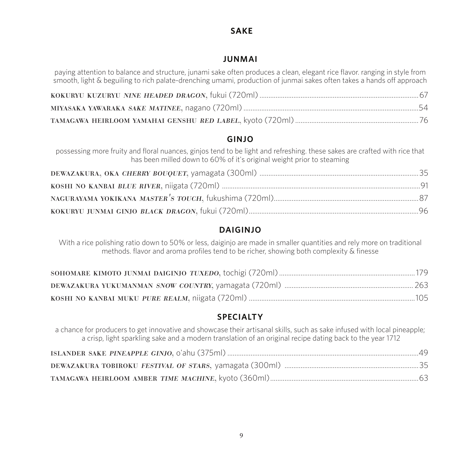### **SAKE**

#### **JUNMAI**

paying attention to balance and structure, junami sake often produces a clean, elegant rice flavor. ranging in style from smooth, light & beguiling to rich palate-drenching umami, production of junmai sakes often takes a hands off approach

#### **GINJO**

possessing more fruity and floral nuances, ginjos tend to be light and refreshing. these sakes are crafted with rice that has been milled down to 60% of it's original weight prior to steaming

### **DAIGINJO**

With a rice polishing ratio down to 50% or less, daiginjo are made in smaller quantities and rely more on traditional methods. flavor and aroma profiles tend to be richer, showing both complexity & finesse

### **SPECIALTY**

a chance for producers to get innovative and showcase their artisanal skills, such as sake infused with local pineapple; a crisp, light sparkling sake and a modern translation of an original recipe dating back to the year 1712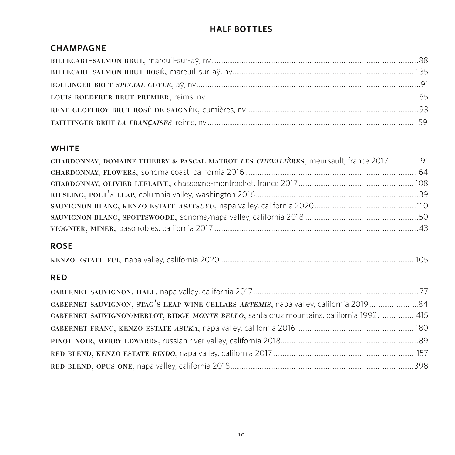### **HALF BOTTLES**

### **CHAMPAGNE**

#### **WHITE**

| CHARDONNAY, DOMAINE THIERRY & PASCAL MATROT LES CHEVALIÈRES, meursault, france 2017  91 |  |
|-----------------------------------------------------------------------------------------|--|
|                                                                                         |  |
|                                                                                         |  |
|                                                                                         |  |
|                                                                                         |  |
|                                                                                         |  |
|                                                                                         |  |

### **ROSE**

|--|--|--|--|

#### **RED**

| CABERNET SAUVIGNON/MERLOT, RIDGE MONTE BELLO, santa cruz mountains, california 1992 415 |  |
|-----------------------------------------------------------------------------------------|--|
|                                                                                         |  |
|                                                                                         |  |
|                                                                                         |  |
|                                                                                         |  |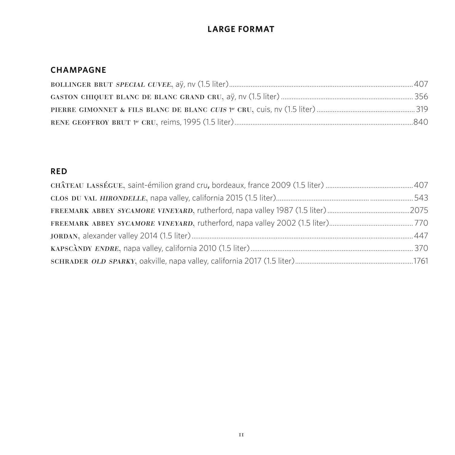### **LARGE FORMAT**

#### **CHAMPAGNE**

#### **RED**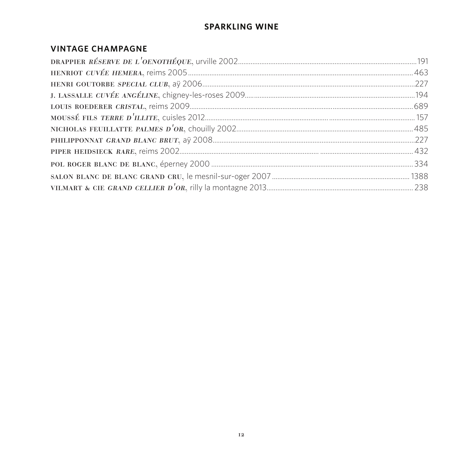### **SPARKLING WINE**

#### **VINTAGE CHAMPAGNE**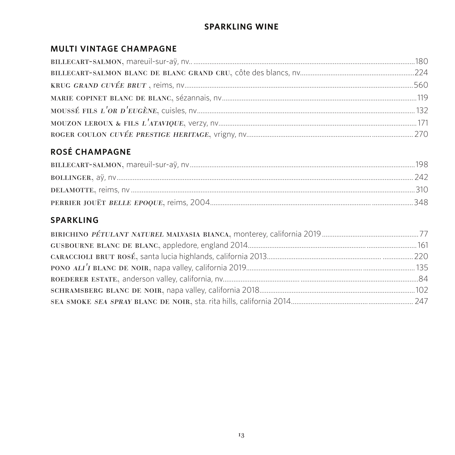### **SPARKLING WINE**

### MULTI VINTAGE CHAMPAGNE

### **ROSÉ CHAMPAGNE**

### **SPARKLING**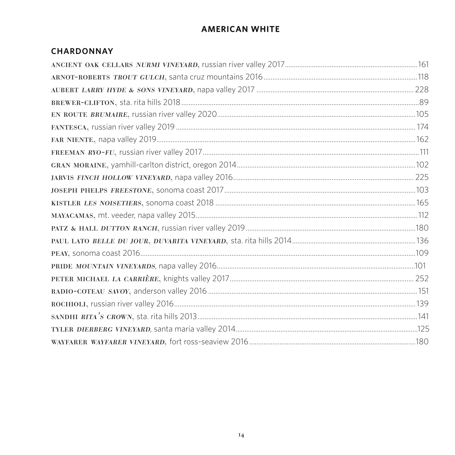### **AMERICAN WHITE**

#### **CHARDONNAY**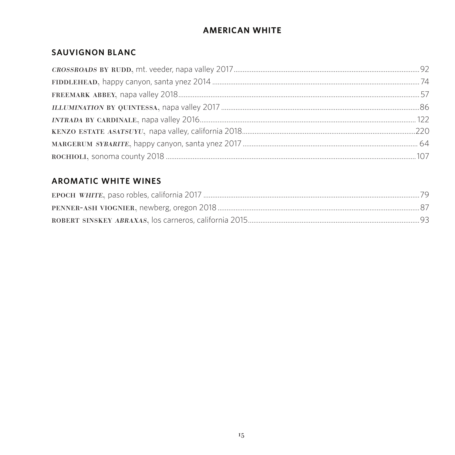### **AMERICAN WHITE**

### **SAUVIGNON BLANC**

### **AROMATIC WHITE WINES**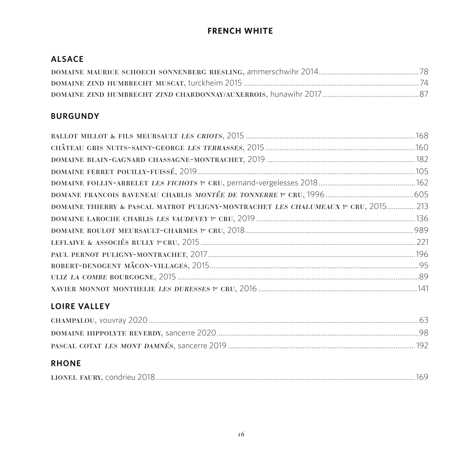### **FRENCH WHITE**

### **ALSACE**

#### **BURGUNDY**

| CHÂTEAU GRIS NUITS-SAINT-GEORGE LES TERRASSES, 2015 <b>MARCELLES 1998</b> 160       |  |
|-------------------------------------------------------------------------------------|--|
|                                                                                     |  |
|                                                                                     |  |
|                                                                                     |  |
|                                                                                     |  |
| DOMAINE THIERRY & PASCAL MATROT PULIGNY-MONTRACHET LES CHALUMEAUX 1er CRU, 2015 213 |  |
|                                                                                     |  |
|                                                                                     |  |
|                                                                                     |  |
|                                                                                     |  |
|                                                                                     |  |
|                                                                                     |  |
|                                                                                     |  |

### **LOIRE VALLEY**

#### **RHONE**

| LIONEL FAURY, condrieu 2018 |
|-----------------------------|
|-----------------------------|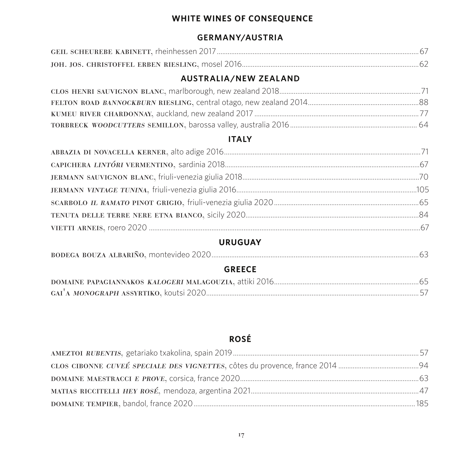### **WHITE WINES OF CONSEQUENCE**

#### **GERMANY/AUSTRIA**

#### **AUSTRALIA/NEW ZEALAND**

#### **ITALY**

#### **URUGUAY**

|--|

### **GREECE**

### **ROSÉ**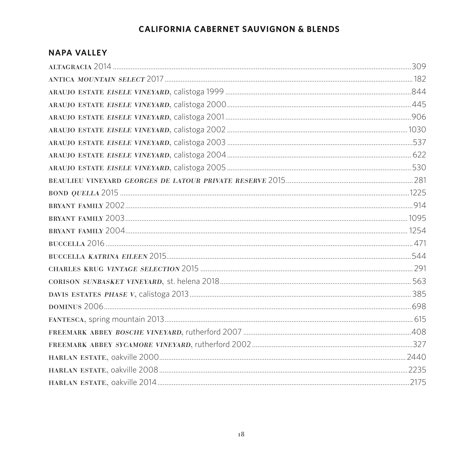### **CALIFORNIA CABERNET SAUVIGNON & BLENDS**

#### **NAPA VALLEY**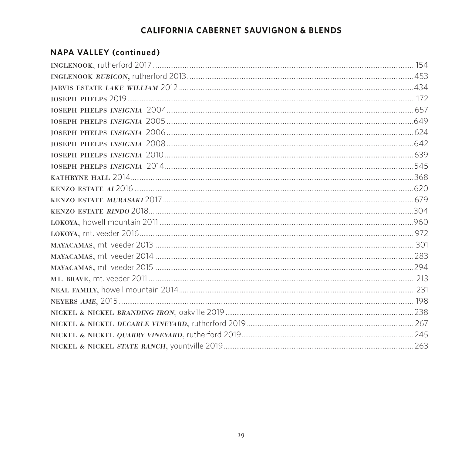### **CALIFORNIA CABERNET SAUVIGNON & BLENDS**

#### **NAPA VALLEY (continued)**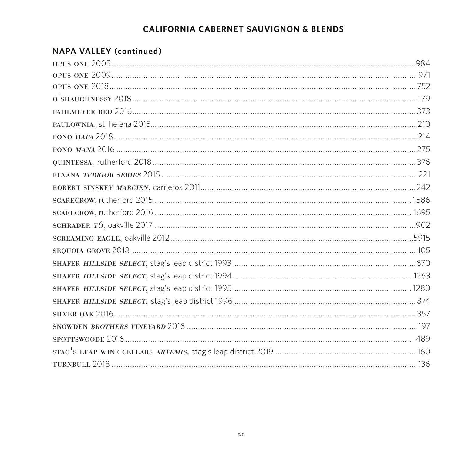### **CALIFORNIA CABERNET SAUVIGNON & BLENDS**

### **NAPA VALLEY (continued)**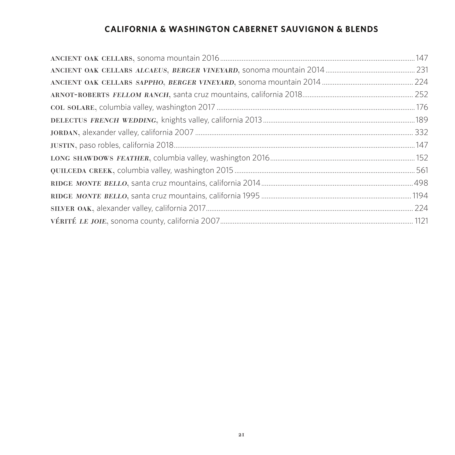### **CALIFORNIA & WASHINGTON CABERNET SAUVIGNON & BLENDS**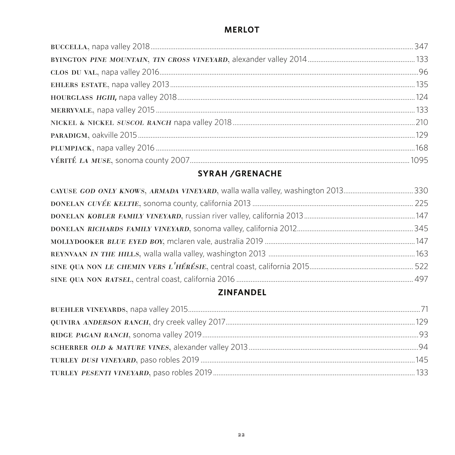### **MERLOT**

### **SYRAH /GRENACHE**

### **ZINFANDEL**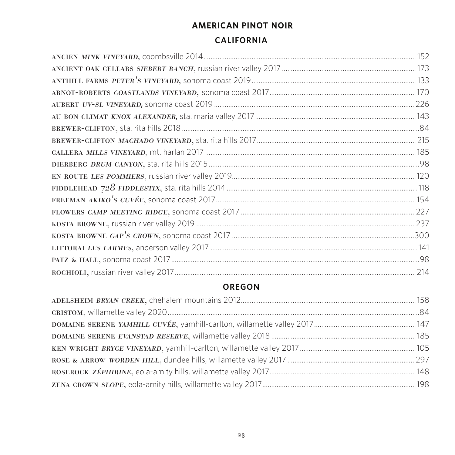# **AMERICAN PINOT NOIR**

#### **CALIFORNIA**

| ANTHILL FARMS PETER'S VINEYARD, SONOMA COAST 2019 <b>MARCELLE ACCOMMODELLE TEAM</b> 133 |  |
|-----------------------------------------------------------------------------------------|--|
|                                                                                         |  |
|                                                                                         |  |
|                                                                                         |  |
|                                                                                         |  |
|                                                                                         |  |
|                                                                                         |  |
|                                                                                         |  |
|                                                                                         |  |
|                                                                                         |  |
|                                                                                         |  |
|                                                                                         |  |
|                                                                                         |  |
|                                                                                         |  |
|                                                                                         |  |
|                                                                                         |  |
|                                                                                         |  |

### **OREGON**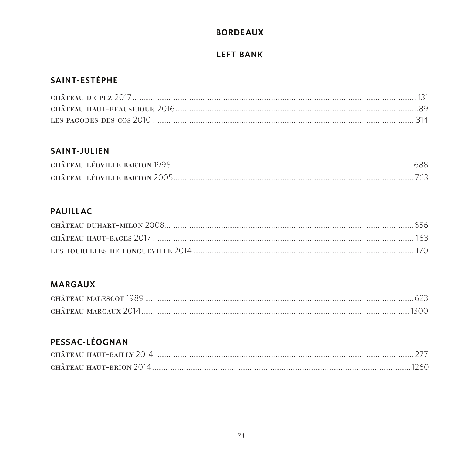### **BORDEAUX**

#### **LEFT BANK**

### SAINT-ESTÈPHE

| LES PAGODES DES COS 2010 minimum minimum minimum minimum minimum minimum minimum 314 |  |
|--------------------------------------------------------------------------------------|--|

#### **SAINT-JULIEN**

### **PAUILLAC**

#### **MARGAUX**

| CHÂTEAU MALESCOT 1989 |  |
|-----------------------|--|
| CHÂTEAU MARGAUX 2014. |  |

### PESSAC-LÉOGNAN

| CHÂTEAU HAUT-BRION 2014. |  |
|--------------------------|--|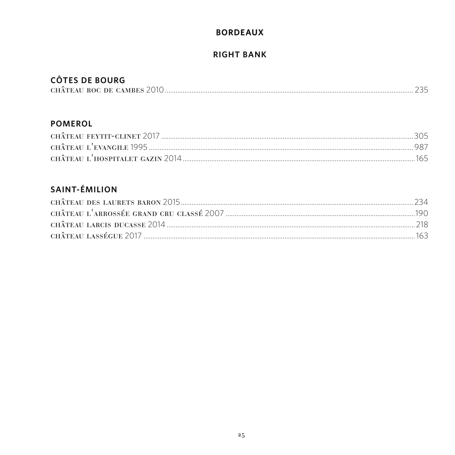### **BORDEAUX**

### **RIGHT BANK**

### **CÔTES DE BOURG**

| ---------------            |  |
|----------------------------|--|
| CHÂTEAU ROC DE CAMBES 2010 |  |

#### **POMEROL**

### **SAINT-ÉMILION**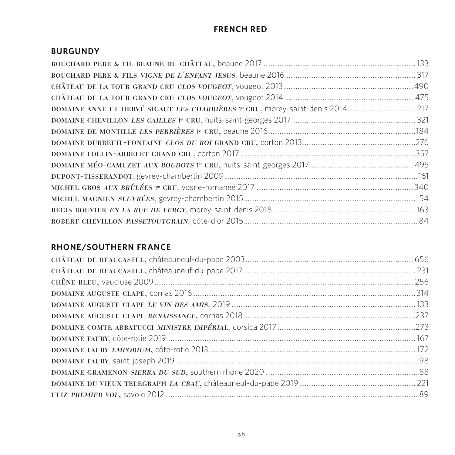### **FRENCH RED**

#### **BURGUNDY**

#### **RHONE/SOUTHERN FRANCE**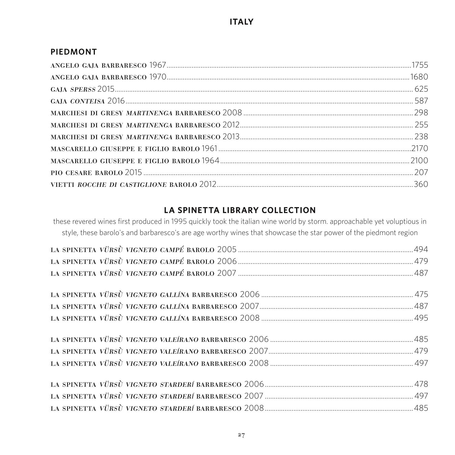#### **PIEDMONT**

### **LA SPINETTA LIBRARY COLLECTION**

these revered wines first produced in 1995 quickly took the italian wine world by storm. approachable yet voluptious in style, these barolo's and barbaresco's are age worthy wines that showcase the star power of the piedmont region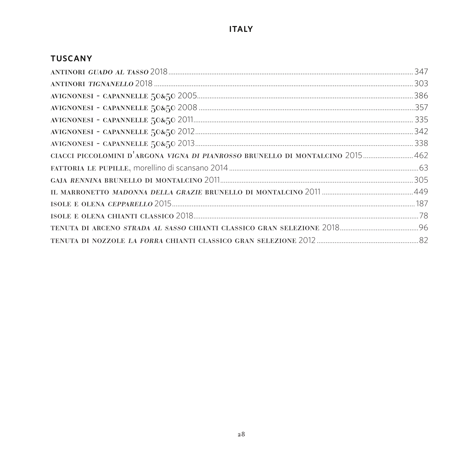#### **TUSCANY**

| CIACCI PICCOLOMINI D'ARGONA VIGNA DI PIANROSSO BRUNELLO DI MONTALCINO 2015 462 |  |
|--------------------------------------------------------------------------------|--|
|                                                                                |  |
|                                                                                |  |
|                                                                                |  |
|                                                                                |  |
|                                                                                |  |
|                                                                                |  |
|                                                                                |  |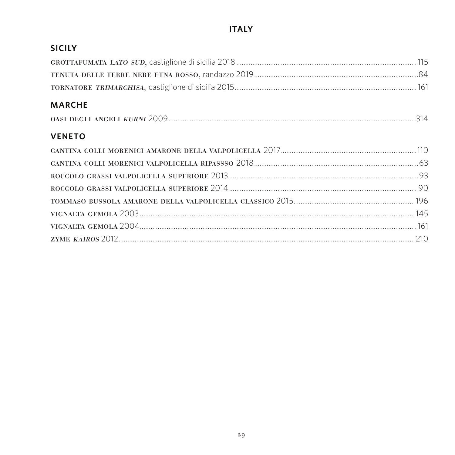### **ITALY**

### **SICILY**

#### **MARCHE**

| OASI DEGLI ANGELI KURNI 2009. |
|-------------------------------|
|-------------------------------|

### **VENETO**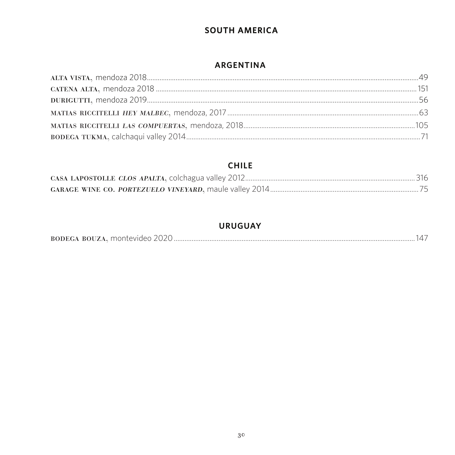### **SOUTH AMERICA**

#### ARGENTINA

#### **CHILE**

#### **URUGUAY**

| <b>BODEG</b><br><b>BOUZA</b><br>$\prime$<br>montevideo . |
|----------------------------------------------------------|
|----------------------------------------------------------|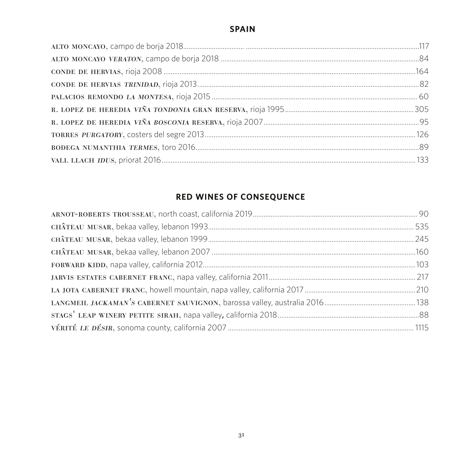### **SPAIN**

### **RED WINES OF CONSEQUENCE**